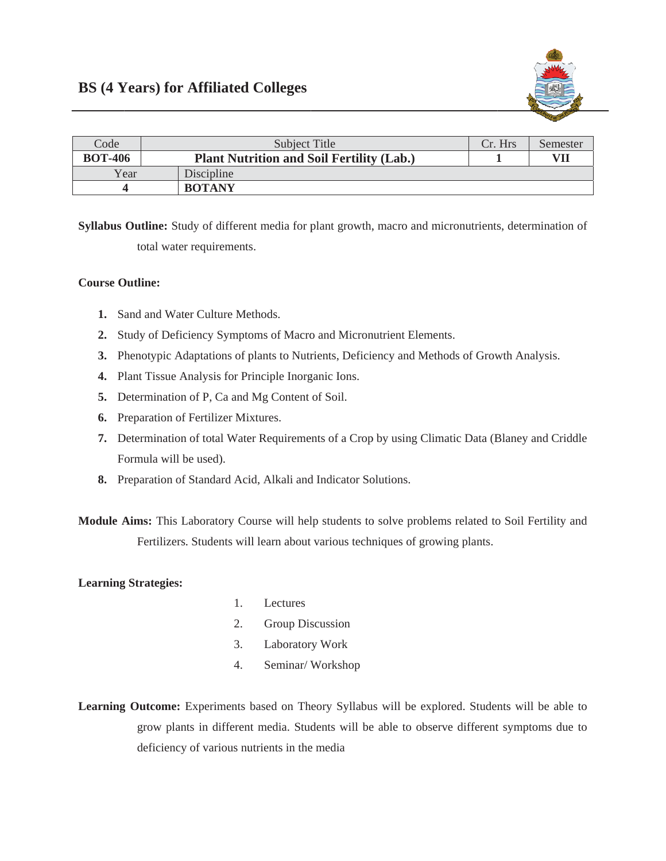

| Code           | Subject Title                                    | Cr. Hrs | Semester |
|----------------|--------------------------------------------------|---------|----------|
| <b>BOT-406</b> | <b>Plant Nutrition and Soil Fertility (Lab.)</b> |         | VII      |
| Year           | Discipline                                       |         |          |
|                | <b>BOTANY</b>                                    |         |          |

Syllabus Outline: Study of different media for plant growth, macro and micronutrients, determination of total water requirements.

## **Course Outline:**

- 1. Sand and Water Culture Methods.
- 2. Study of Deficiency Symptoms of Macro and Micronutrient Elements.
- 3. Phenotypic Adaptations of plants to Nutrients, Deficiency and Methods of Growth Analysis.
- 4. Plant Tissue Analysis for Principle Inorganic Ions.
- 5. Determination of P, Ca and Mg Content of Soil.
- 6. Preparation of Fertilizer Mixtures.
- 7. Determination of total Water Requirements of a Crop by using Climatic Data (Blaney and Criddle Formula will be used).
- 8. Preparation of Standard Acid, Alkali and Indicator Solutions.

Module Aims: This Laboratory Course will help students to solve problems related to Soil Fertility and Fertilizers. Students will learn about various techniques of growing plants.

## **Learning Strategies:**

- $1.$ Lectures
- $2.$ Group Discussion
- $3.$ Laboratory Work
- 4. Seminar/Workshop
- Learning Outcome: Experiments based on Theory Syllabus will be explored. Students will be able to grow plants in different media. Students will be able to observe different symptoms due to deficiency of various nutrients in the media